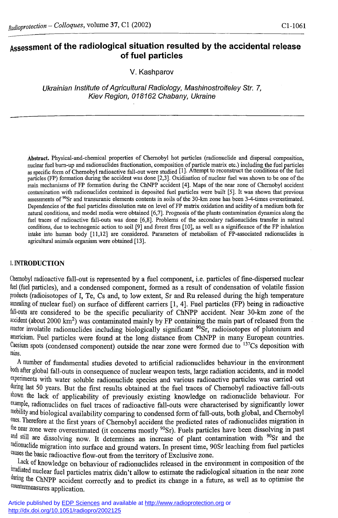# **Assessment of the radiological situation resulted by the accidental release of fuel particles**

V. Kashparov

*Ukrainian Institute of Agricultural Radiology, Mashinostroiteley Str. 7, Kiev Region, 018162 Chabany, Ukraine* 

**Abstract. Physical-and-chemical properties of Chernobyl hot particles (radionuclide and dispersal composition, nuclear fuel burn-up and radionuclides fractionation, composition of particle matrix etc.) including the fuel particles as specific form of Chernobyl radioactive fall-out were studied [!]• Attempt to reconstruct the conditions of the fuel particles (FP) formation during the accident was done [2,3]. Oxidisation of nuclear fuel was shown to be one of the main mechanisms of FP formation during the ChNPP accident [4]. Maps of the near zone of Chernobyl accident contamination with radionuclides contained in deposited fuel particles were built [5]. It was shown that previous assessments of <sup>90</sup>Sr and transuranic elements contents in soils of the 30-km zone has been 3-4-times overestimated. Dependencies of the fuel particles dissolution rate on level of FP matrix oxidation and acidity of a medium both for natural conditions, and model media were obtained [6,7]. Prognosis of the plants contamination dynamics along the fuel traces of radioactive fall-outs was done [6,8]. Problems of the secondary radionuclides transfer in natural conditions, due to technogenic action to soil [9] and forest fires [10], as well as a significance of the FP inhalation intake into human body [11,12] are considered. Parameters of metabolism of FP-associated radionuclides in agricultural animals organism were obtained [13].** 

#### **1.** INTRODUCTION

Chernobyl radioactive fall-out is represented by a fuel component, i.e. particles of fine-dispersed nuclear fuel (fuel particles), and a condensed component, formed as a result of condensation of volatile fission products (radioisotopes of I, Te, Cs and, to low extent, Sr and Ru released during the high temperature annealing of nuclear fuel) on surface of different carriers [1, 4]. Fuel particles (FP) being in radioactive fall-outs are considered to be the specific peculiarity of ChNPP accident. Near 30-km zone of the accident (about 2000 km<sup>2</sup>) was contaminated mainly by FP containing the main part of released from the <sup>reactor</sup> involatile radionuclides including biologically significant <sup>90</sup>Sr, radioisotopes of plutonium and americium. Fuel particles were found at the long distance from ChNPP in many European countries. Caesium spots (condensed component) outside the near zone were formed due to  $137Cs$  deposition with rains.

A number of fundamental studies devoted to artificial radionuclides behaviour in the environment both after global fall-outs in consequence of nuclear weapon tests, large radiation accidents, and in model experiments with water soluble radionuclide species and various radioactive particles was carried out during last 50 years. But the first results obtained at the fuel traces of Chernobyl radioactive fall-outs shown the lack of applicability of previously existing knowledge on radionuclide behaviour. For example, radionuclides on fuel traces of radioactive fall-outs were characterised by significantly lower mobility and biological availability comparing to condensed form of fall-outs, both global, and Chernobyl ones. Therefore at the first years of Chernobyl accident the predicted rates of radionuclides migration in the near zone were overestimated (it concerns mostly  $90\text{Sr}$ ). Fuels particles have been dissolving in past <sup>and still are dissolving now.</sup> It determines an increase of plant contamination with <sup>90</sup>Sr and the radionuclide migration into surface and ground waters. In present time, 90Sr leaching from fuel particles causes the basic radioactive flow-out from the territory of Exclusive zone.

Lack of knowledge on behaviour of radionuclides released in the environment in composition of the irradiated nuclear fuel particles matrix didn't allow to estimate the radiological situation in the near zone during the ChNPP accident correctly and to predict its change in a future, as well as to optimise the eounterrneasures application.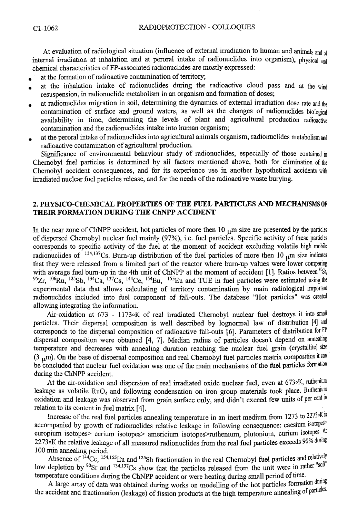At evaluation of radiological situation (influence of external irradiation to human and animals and of internal irradiation at inhalation and at peroral intake of radionuclides into organism), physical and chemical characteristics of FP-associated radionuclides are mostly expressed:

- at the formation of radioactive contamination of territory;
- at the inhalation intake of radionuclides during the radioactive cloud pass and at the wind resuspension, in radionuclide metabolism in an organism and formation of doses;
- at radionuclides migration in soil, determining the dynamics of external irradiation dose rate and the contamination of surface and ground waters, as well as the changes of radionuclides biological availability in time, determining the levels of plant and agricultural production radioactive contamination and the radionuclides intake into human organism;
- . at the peroral intake of radionuclides into agricultural animals organism, radionuclides metabolism and radioactive contamination of agricultural production.

Significance of environmental behaviour study of radionuclides, especially of those contained in Chernobyl fuel particles is determined by all factors mentioned above, both for elimination of the Chernobyl accident consequences, and for its experience use in another hypothetical accidents with irradiated nuclear fuel particles release, and for the needs of the radioactive waste burying.

### **2. PHYSICO-CHEMICAL PROPERTIES OF THE FUEL PARTICLES AND MECHANISMS OF THEIR FORMATION DURING THE ChNPP ACCTDENT**

In the near zone of ChNPP accident, hot particles of more then  $10^{-1}$ m size are presented by the particles of dispersed Chernobyl nuclear fuel mainly (97%), i.e. fuel particles. Specific activity of these particles corresponds to specific activity of the fuel at the moment of accident excluding volatile high mobile radionuclides of  $134,137$ Cs. Burn-up distribution of the fuel particles of more then 10 <sub>u</sub>m size indicates that they were released from a limited part of the reactor where burn-up values were lower comparing with average fuel burn-up in the 4th unit of ChNPP at the moment of accident [1]. Ratios between  $^{90}Sr$ , <sup>95</sup>Zr, <sup>106</sup>Ru, <sup>125</sup>Sb, <sup>134</sup>Cs, <sup>137</sup>Cs, <sup>144</sup>Ce, <sup>154</sup>Eu, <sup>155</sup>Eu and TUE in fuel particles were estimated using the experimental data that allows calculating of territory contamination by main radiological important radionuclides included into fuel component of fall-outs. The database "Hot particles" was created allowing integrating the information.

Air-oxidation at 673 - 1173 K of real irradiated Chernobyl nuclear fuel destroys it into small particles. Their dispersal composition is well described by lognormal law of distribution [4] and corresponds to the dispersal composition of radioactive fall-outs [6]. Parameters of distribution for FP dispersal composition were obtained [4, 7]. Median radius of particles doesn't depend on annealing temperature and decreases with annealing duration reaching the nuclear fuel grain (crystallite) size (3  $\mu$ m). On the base of dispersal composition and real Chernobyl fuel particles matrix composition it can be concluded that nuclear fuel oxidation was one of the main mechanisms of the fuel particles formation during the ChNPP accident.

At the air-oxidation and dispersion of real irradiated oxide nuclear fuel, even at 673 oK, ruthenium leakage as volatile RuO<sub>4</sub> and following condensation on iron group materials took place. Ruthenium oxidation and leakage was observed from grain surface only, and didn't exceed few units of per cent in relation to its content in fuel matrix [4].

Increase of the real fuel particles annealing temperature in an inert medium from 1273 to 2273°K is accompanied by growth of radionuclides relative leakage in following consequence: caesium isotopes europium isotopes> cerium isotopes> americium isotopes>ruthenium, plutonium, curium isotopes. At 2273oK the relative leakage of all measured radionuclides from the real fuel particles exceeds 90% during 100 min annealing period.

Absence of  $144$ Ce,  $154,155$ Eu and  $125$ Sb fractionation in the real Chernobyl fuel particles and relatively low depletion by <sup>90</sup>Sr and <sup>134,137</sup>Cs show that the particles released from the unit were in rather  $\frac{1}{2}$ temperature conditions during the ChNPP accident or were heating during small period of time.

A large array of data was obtained during works on modelling of the hot particles formation during the accident and fractionation (leakage) of fission products at the high temperature annealing of particles.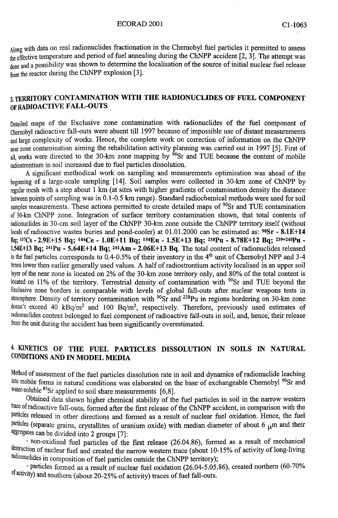Along with data on real radionuclides fractionation in the Chernobyl fuel particles it permitted to assess the effective temperature and period of fuel annealing during the ChNPP accident [2, 3]. The attempt was done and a possibility was shown to determine the localisation of the source of initial nuclear fuel release from the reactor during the ChNPP explosion [3].

### **3. TERRITORY CONTAMINATION WITH THE RADIONUCLIDES OF FUEL COMPONENT OF RADIOACTIVE FALL-OUTS**

Detailed maps of the Exclusive zone contamination with radionuclides of the fuel component of Chernobyl radioactive fall-outs were absent till 1997 because of impossible use of distant measurements and large complexity of works. Hence, the complete work on correction of information on the ChNPP near zone contamination aiming the rehabilitation activity planning was carried out in 1997 [5]. First of all, works were directed to the 30-km zone mapping by <sup>90</sup>Sr and TUE because the content of mobile radiostrontium in soil increased due to fuel particles dissolution.

**A** significant methodical work on sampling and measurements optimisation was ahead of the beginning of a large-scale sampling [14]. Soil samples were collected in 30-km zone of ChNPP by regular mesh with a step about 1 km (at sites with higher gradients of contamination density the distance between points of sampling was in 0.1-0.5 km range). Standard radiochemical methods were used for soil samples measurements. These actions permitted to create detailed maps of <sup>90</sup>Sr and TUE contamination of 30-km ChNPP zone. Integration of surface territory contamination shown, that total contents of radionuclides in 30-cm soil layer of the ChNPP 30-km zone outside the ChNPP territory itself (without locals of radioactive wastes buries and pond-cooler) at 01.01.2000 can be estimated as: **<sup>90</sup>Sr - 8.1E+14**  Bq; **"'Cs - 2.9E+15 Bq;** *™Ce -* **1.0E+11 Bq; is"Eu - 1.5E+13 Bq; \*>8p <sup>u</sup> . 8.78E+12 Bq; 239+24opu .**  1.54E+13 Bq; <sup>241</sup>Pu - 5.64E+14 Bq; <sup>241</sup>Am - 2.06E+13 Bq. The total content of radionuclides released in the fuel particles corresponds to  $0.4$ - $0.5\%$  of their inventory in the 4<sup>th</sup> unit of Chernobyl NPP and 3-4 times lower then earlier generally used values. **A** half of radiostrontium activity localised in an upper soil layer of the near zone is located on 2% of the 30-km zone territory only, and 80% of the total content is  $\frac{10}{2}$  of the territory. Terrestrial density of contamination with  $\frac{90}{2}$ Sr and TUE beyond the Exclusive zone borders is comparable with levels of global fall-outs after nuclear weapons tests in atmosphere. Density of territory contamination with  $90\text{Sr}$  and  $238\text{Pu}$  in regions bordering on 30-km zone  $\frac{d}{dt}$  exceed 40 kBq/m<sup>2</sup> and 100 Bq/m<sup>2</sup> respectively. Therefore, previously used estimates of radionuclides content belonged to fuel component of radioactive fall-outs in soil, and, hence, their release from the unit during the accident has been significantly overestimated.

### 4. **KINETICS OF THE FUEL PARTICLES DISSOLUTION IN SOILS IN NATURAL CONDITIONS AND IN MODEL MEDIA**

Method of assessment of the fuel particles dissolution rate in soil and dynamics of radionuclide leaching <sup>linto</sup> mobile forms in natural conditions was elaborated on the base of exchangeable Chernobyl<sup>39</sup>Sr and water-soluble <sup>83</sup>Sr applied to soil share measurements [6,8].

Obtained data shown higher chemical stability of the fuel particles in soil in the narrow western trace of radioactive fall-outs, formed after the first release of the ChNPP accident, in comparison with the particles released in other directions and formed as a result of nuclear fuel oxidation. Hence, the fuel particles (separate grains, crystallites of uranium oxide) with median diameter of about 6  $\mu$ m and their aggregates can be divided into 2 groups [7]:

- non-oxidised fuel particles of the first release (26.04.86), formed as a result of mechanical destruction of nuclear fuel and created the narrow western trace (about 10-15% of activity of long-living radionuclides in composition of fuel particles outside the ChNPP territory);

- particles formed as a result of nuclear fuel oxidation (26.04-5.05.86), created northern (60-70% of activity) and southern (about 20-25% of activity) traces of fuel fall-outs.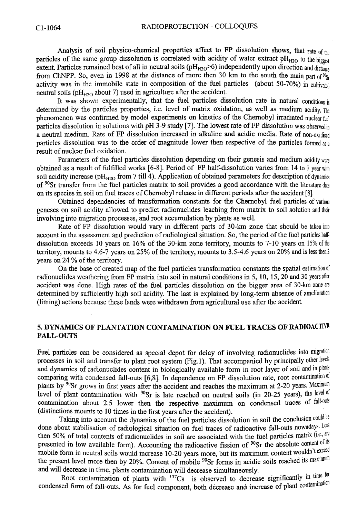Analysis of soil physico-chemical properties affect to FP dissolution shows, that rate **of the**  particles of the same group dissolution is correlated with acidity of water extract pH<sub>H2O</sub> to the biggest extent. Particles remained best of all in neutral soils (pH<sub>H2O</sub>>6) independently upon direction and distance from ChNPP. So, even in 1998 at the distance of more then 30 km to the south the main part of  $\mathfrak{R}_S$ activity was in the immobile state in composition of the fuel particles (about 50-70%) in cultivated neutral soils *(pHmo* about 7) used in agriculture after the accident.

It was shown experimentally, that the fuel particles dissolution rate in natural conditions is determined by the particles properties, i.e. level of matrix oxidation, as well as medium acidity. **The**  phenomenon was confirmed by model experiments on kinetics of the Chernobyl irradiated nuclear **fuel**  particles dissolution in solutions with pH 3-9 study [7]. The lowest rate of FP dissolution was observed in a neutral medium. Rate of FP dissolution increased in alkaline and acidic media. Rate of non**-oxidised**  particles dissolution was to the order of magnitude lower then respective of the particles formed **as a**  result of nuclear fuel oxidation.

Parameters of the fuel particles dissolution depending on their genesis and medium acidity **were**  obtained as a result of fulfilled works [6-8]. Period of FP half-dissolution varies from 14 to 1 year **with**  soil acidity increase (pH<sub>H2O</sub> from 7 till 4). Application of obtained parameters for description of dynamics of <sup>90</sup>Sr transfer from the fuel particles matrix to soil provides a good accordance with the literature **data**  on its species in soil on fuel traces of Chernobyl release in different periods after the accident [8].

Obtained dependencies of transformation constants for the Chernobyl fuel particles of **various**  geneses on soil acidity allowed to predict radionuclides leaching from matrix to soil solution **and their**  involving into migration processes, and root accumulation by plants as well.

Rate of FP dissolution would vary in different parts of 30-km zone that should be taken **into**  account in the assessment and prediction of radiological situation. So, the period of the fuel particles **half**dissolution exceeds 10 years on 16% of the 30-km zone territory, mounts to 7-10 years on 15% **of the**  territory, mounts to 4.6-7 years on 25% of the territory, mounts to 3.5-4.6 years on 20% and is less then2 years on 24 % of the territory.

On the base of created map of the fuel particles transformation constants the spatial estimation of radionuclides weathering from FP matrix into soil in natural conditions in 5,10, 15, 20 and 30 years **after**  accident was done. High rates of the fuel particles dissolution on the bigger area of 30-km zone **are**  determined by sufficiently high soil acidity. The last is explained by long-term absence of amelioration (liming) actions because these lands were withdrawn from agricultural use after the accident.

### **5. DYNAMICS OF PLANTATION CONTAMINATION ON FUEL TRACES OF RADIOACTIVE FALL-OUTS**

Fuel particles can be considered as special depot for delay of involving radionuclides into migration processes in soil and transfer to plant root system (Fig.l). That accompanied by principally other **levels**  and dynamics of radionuclides content in biologically available form in root layer of soil and in plants comparing with condensed fall-outs [6,8]. In dependence on FP dissolution rate, root contamination of plants by <sup>90</sup>Sr grows in first years after the accident and reaches the maximum at 2-20 years. Maximum level of plant contamination with <sup>90</sup>Sr is late reached on neutral soils (in 20-25 years), the level of contamination about 2.5 lower then the respective maximum on condensed traces of **fall-outs**  (distinctions mounts to 10 times in the first years after the accident).

Taking into account the dynamics of the fuel particles dissolution in soil the conclusion **could** be done about stabilisation of radiological situation on fuel traces of radioactive fall-outs nowadays. **Less**  then 50% of total contents of radionuclides in soil are associated with the fuel particles matrix **(i.e., are**  presented in low available form). Accounting the radioactive fission of <sup>90</sup>Sr the absolute content of i<sup>ts</sup> mobile form in neutral soils would increase 10-20 years more, but its maximum content wouldn't exceed the present level more then by 20%. Content of mobile <sup>90</sup>Sr forms in acidic soils reached its **maximum**  and will decrease in time, plants contamination will decrease simultaneously.

Root contamination of plants with <sup>137</sup>Cs is observed to decrease significantly in the for condensed form of fall-outs. As for fuel component, both decrease and increase of plant contamination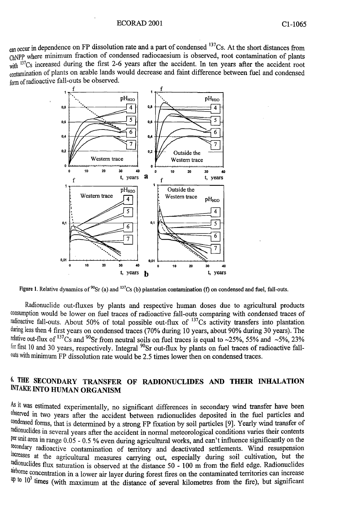<sub>can occur</sub> in dependence on FP dissolution rate and a part of condensed <sup>137</sup>Cs. At the short distances from ChNPP where minimum fraction of condensed radiocaesium is observed, root contamination of plants  $\frac{137}{\text{C}}$  increased during the first 2-6 years after the accident. In ten years after the accident root contamination of plants on arable lands would decrease and faint difference between fuel and condensed form of radioactive fall-outs be observed.



**Figure 1.** Relative dynamics of "Sr (a) and <sup>137</sup>Cs (b) plantation contamination (f) on condensed and fuel, fall-outs.

Radionuclide out-fluxes by plants and respective human doses due to agricultural products consumption would be lower on fuel traces of radioactive fall-outs comparing with condensed traces of radioactive fall-outs. About 50% of total possible out-flux of <sup>137</sup>Cs activity transfers into plantation during less then 4 first years on condensed traces (70% during 10 years, about 90% during 30 years). The relative out-flux of <sup>137</sup>Cs and <sup>90</sup>Sr from neutral soils on fuel traces is equal to ~25%, 55% and ~5%, 23% <sup>for first 10 and 30 years, respectively. Integral <sup>90</sup>Sr out-flux by plants on fuel traces of radioactive fall-</sup> outs with minimum FP dissolution rate would be 2.5 times lower then on condensed traces.

## **6. THE SECONDARY TRANSFER OF RADIONUCLIDES AND THEIR INHALATION INTAKE INTO HUMAN ORGANISM**

As it was estimated experimentally, no significant differences in secondary wind transfer have been observed in two years after the accident between radionuclides deposited in the fuel particles and condensed forms, that is determined by a strong FP fixation by soil particles **[9].** Yearly wind transfer of radionuclides in several years after the accident in normal meteorological conditions vanes their contents per unit area in range 0.05 - 0.5 % even during agricultural works, and can't influence significantly on the secondary radioactive contamination of territory and deactivated settlements. Wind resuspension increases at the agricultural measures carrying out, especially during soil cultivation, but the radionuclides flux saturation is observed at the distance 50 - 100 m from the field edge. Radionuclides airborne concentration in a lower air layer during forest fires on the contaminated territories can increase  $\Psi$  to 10<sup>3</sup> times (with maximum at the distance of several kilometres from the fire), but significant